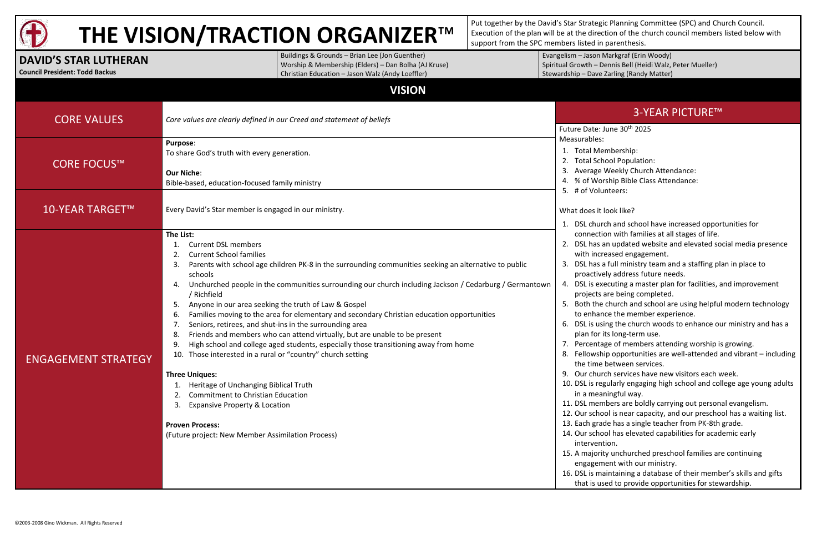

# **THE VISION/TRACTION ORGANIZER**™

Put together by the David's Star Strategic Planning Committee (SPC) and Church Council. Execution of the plan will be at the direction of the church council members listed below with support from the SPC members listed in parenthesis.

Spiritual Growth – Dennis Bell (Heidi Walz, Peter Mueller)

#### 3-YEAR PICTURE™

- 
- 3. Average Weekly Church Attendance:
- 4. % of Worship Bible Class Attendance:
	-

- 1. DSL church and school have increased opportunities for
	- connection with families at all stages of life.
- 2. DSL has an updated website and elevated social media presence with increased engagement.
- 3. DSL has a full ministry team and a staffing plan in place to proactively address future needs.
- 4. DSL is executing a master plan for facilities, and improvement projects are being completed.
- 5. Both the church and school are using helpful modern technology to enhance the member experience.
- 6. DSL is using the church woods to enhance our ministry and has a plan for its long-term use.
- 7. Percentage of members attending worship is growing.
- 8. Fellowship opportunities are well-attended and vibrant including the time between services.
- 9. Our church services have new visitors each week.
- 10. DSL is regularly engaging high school and college age young adults
- 11. DSL members are boldly carrying out personal evangelism.
- 12. Our school is near capacity, and our preschool has a waiting list.
- 13. Each grade has a single teacher from PK-8th grade.
- 14. Our school has elevated capabilities for academic early
- 15. A majority unchurched preschool families are continuing engagement with our ministry.
- 16. DSL is maintaining a database of their member's skills and gifts that is used to provide opportunities for stewardship.

#### **DAVID'S STAR LUTHERAN Council President: Todd Backus** Buildings & Grounds – Brian Lee (Jon Guenther) Worship & Membership (Elders) – Dan Bolha (AJ Kruse) Christian Education – Jason Walz (Andy Loeffler) Evangelism – Jason Markgraf (Erin Woody) Stewardship – Dave Zarling (Randy Matter) **VISION** CORE VALUES *Core values are clearly defined in our Creed and statement of beliefs* Future Date: June 30th 2025 Measurables: 1. Total Membership: 2. Total School Population: 5. # of Volunteers: What does it look like? in a meaningful way. intervention. CORE FOCUS™ **Purpose**: To share God's truth with every generation. **Our Niche**: Bible-based, education-focused family ministry 10-YEAR TARGET<sup>™</sup> Every David's Star member is engaged in our ministry. ENGAGEMENT STRATEGY **The List:** 1. Current DSL members 2. Current School families 3. Parents with school age children PK-8 in the surrounding communities seeking an alternative to public schools 4. Unchurched people in the communities surrounding our church including Jackson / Cedarburg / Germantown / Richfield 5. Anyone in our area seeking the truth of Law & Gospel 6. Families moving to the area for elementary and secondary Christian education opportunities 7. Seniors, retirees, and shut-ins in the surrounding area 8. Friends and members who can attend virtually, but are unable to be present 9. High school and college aged students, especially those transitioning away from home 10. Those interested in a rural or "country" church setting **Three Uniques:** 1. Heritage of Unchanging Biblical Truth 2. Commitment to Christian Education 3. Expansive Property & Location **Proven Process:** (Future project: New Member Assimilation Process)